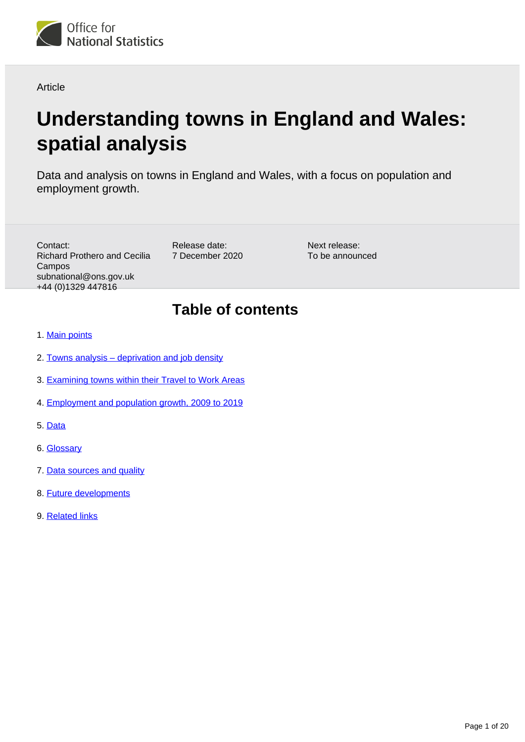

## Article

# **Understanding towns in England and Wales: spatial analysis**

Data and analysis on towns in England and Wales, with a focus on population and employment growth.

Contact: Richard Prothero and Cecilia Campos subnational@ons.gov.uk +44 (0)1329 447816

Release date: 7 December 2020 Next release: To be announced

# **Table of contents**

- 1. [Main points](#page-1-0)
- 2. [Towns analysis deprivation and job density](#page-1-1)
- 3. [Examining towns within their Travel to Work Areas](#page-6-0)
- 4. [Employment and population growth, 2009 to 2019](#page-9-0)
- 5. [Data](#page-17-0)
- 6. [Glossary](#page-17-1)
- 7. [Data sources and quality](#page-18-0)
- 8. [Future developments](#page-19-0)
- 9. [Related links](#page-19-1)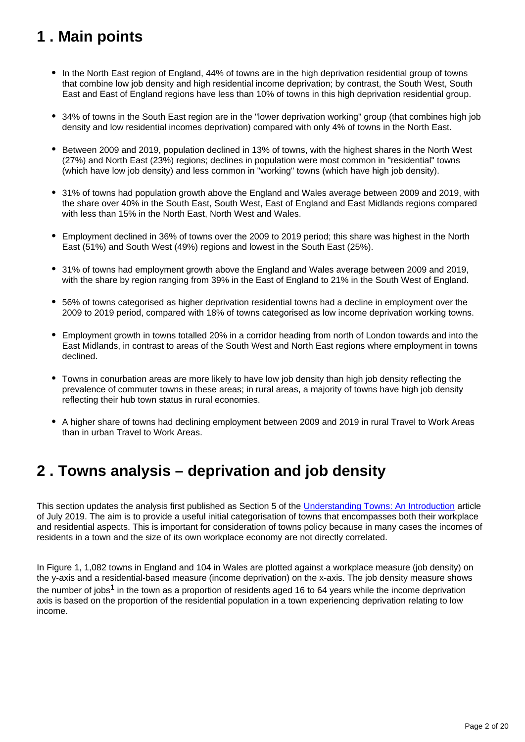# <span id="page-1-0"></span>**1 . Main points**

- In the North East region of England, 44% of towns are in the high deprivation residential group of towns that combine low job density and high residential income deprivation; by contrast, the South West, South East and East of England regions have less than 10% of towns in this high deprivation residential group.
- 34% of towns in the South East region are in the "lower deprivation working" group (that combines high job density and low residential incomes deprivation) compared with only 4% of towns in the North East.
- Between 2009 and 2019, population declined in 13% of towns, with the highest shares in the North West (27%) and North East (23%) regions; declines in population were most common in "residential" towns (which have low job density) and less common in "working" towns (which have high job density).
- 31% of towns had population growth above the England and Wales average between 2009 and 2019, with the share over 40% in the South East, South West, East of England and East Midlands regions compared with less than 15% in the North East, North West and Wales.
- Employment declined in 36% of towns over the 2009 to 2019 period; this share was highest in the North East (51%) and South West (49%) regions and lowest in the South East (25%).
- 31% of towns had employment growth above the England and Wales average between 2009 and 2019, with the share by region ranging from 39% in the East of England to 21% in the South West of England.
- 56% of towns categorised as higher deprivation residential towns had a decline in employment over the 2009 to 2019 period, compared with 18% of towns categorised as low income deprivation working towns.
- Employment growth in towns totalled 20% in a corridor heading from north of London towards and into the East Midlands, in contrast to areas of the South West and North East regions where employment in towns declined.
- Towns in conurbation areas are more likely to have low job density than high job density reflecting the prevalence of commuter towns in these areas; in rural areas, a majority of towns have high job density reflecting their hub town status in rural economies.
- A higher share of towns had declining employment between 2009 and 2019 in rural Travel to Work Areas than in urban Travel to Work Areas.

# <span id="page-1-1"></span>**2 . Towns analysis – deprivation and job density**

This section updates the analysis first published as Section 5 of the [Understanding Towns: An Introduction](https://www.ons.gov.uk/peoplepopulationandcommunity/populationandmigration/populationestimates/articles/understandingtownsinenglandandwales/anintroduction#results-describing-towns) article of July 2019. The aim is to provide a useful initial categorisation of towns that encompasses both their workplace and residential aspects. This is important for consideration of towns policy because in many cases the incomes of residents in a town and the size of its own workplace economy are not directly correlated.

In Figure 1, 1,082 towns in England and 104 in Wales are plotted against a workplace measure (job density) on the y-axis and a residential-based measure (income deprivation) on the x-axis. The job density measure shows the number of jobs<sup>1</sup> in the town as a proportion of residents aged 16 to 64 years while the income deprivation axis is based on the proportion of the residential population in a town experiencing deprivation relating to low income.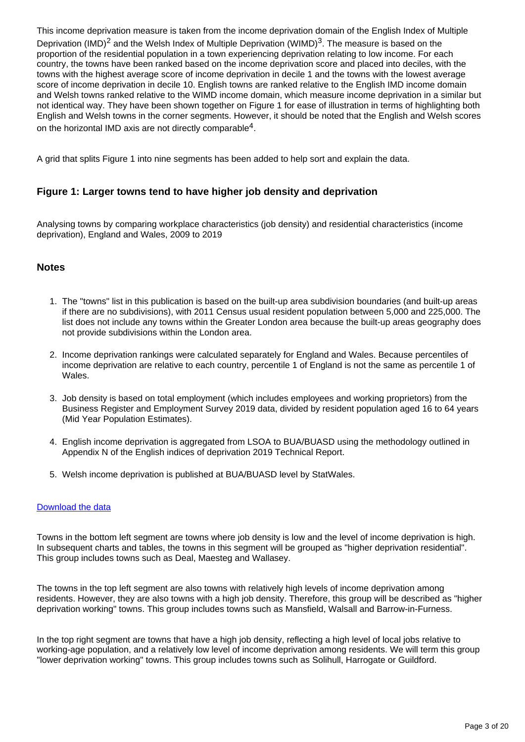This income deprivation measure is taken from the income deprivation domain of the English Index of Multiple Deprivation (IMD)<sup>2</sup> and the Welsh Index of Multiple Deprivation (WIMD)<sup>3</sup>. The measure is based on the proportion of the residential population in a town experiencing deprivation relating to low income. For each country, the towns have been ranked based on the income deprivation score and placed into deciles, with the towns with the highest average score of income deprivation in decile 1 and the towns with the lowest average score of income deprivation in decile 10. English towns are ranked relative to the English IMD income domain and Welsh towns ranked relative to the WIMD income domain, which measure income deprivation in a similar but not identical way. They have been shown together on Figure 1 for ease of illustration in terms of highlighting both English and Welsh towns in the corner segments. However, it should be noted that the English and Welsh scores on the horizontal IMD axis are not directly comparable<sup>4</sup>.

A grid that splits Figure 1 into nine segments has been added to help sort and explain the data.

## **Figure 1: Larger towns tend to have higher job density and deprivation**

Analysing towns by comparing workplace characteristics (job density) and residential characteristics (income deprivation), England and Wales, 2009 to 2019

## **Notes**

- 1. The "towns" list in this publication is based on the built-up area subdivision boundaries (and built-up areas if there are no subdivisions), with 2011 Census usual resident population between 5,000 and 225,000. The list does not include any towns within the Greater London area because the built-up areas geography does not provide subdivisions within the London area.
- 2. Income deprivation rankings were calculated separately for England and Wales. Because percentiles of income deprivation are relative to each country, percentile 1 of England is not the same as percentile 1 of Wales.
- 3. Job density is based on total employment (which includes employees and working proprietors) from the Business Register and Employment Survey 2019 data, divided by resident population aged 16 to 64 years (Mid Year Population Estimates).
- 4. English income deprivation is aggregated from LSOA to BUA/BUASD using the methodology outlined in Appendix N of the English indices of deprivation 2019 Technical Report.
- 5. Welsh income deprivation is published at BUA/BUASD level by StatWales.

#### [Download the data](https://www.ons.gov.uk/visualisations/dvc1073/datadownloads/figure1_data.xls)

Towns in the bottom left segment are towns where job density is low and the level of income deprivation is high. In subsequent charts and tables, the towns in this segment will be grouped as "higher deprivation residential". This group includes towns such as Deal, Maesteg and Wallasey.

The towns in the top left segment are also towns with relatively high levels of income deprivation among residents. However, they are also towns with a high job density. Therefore, this group will be described as "higher deprivation working" towns. This group includes towns such as Mansfield, Walsall and Barrow-in-Furness.

In the top right segment are towns that have a high job density, reflecting a high level of local jobs relative to working-age population, and a relatively low level of income deprivation among residents. We will term this group "lower deprivation working" towns. This group includes towns such as Solihull, Harrogate or Guildford.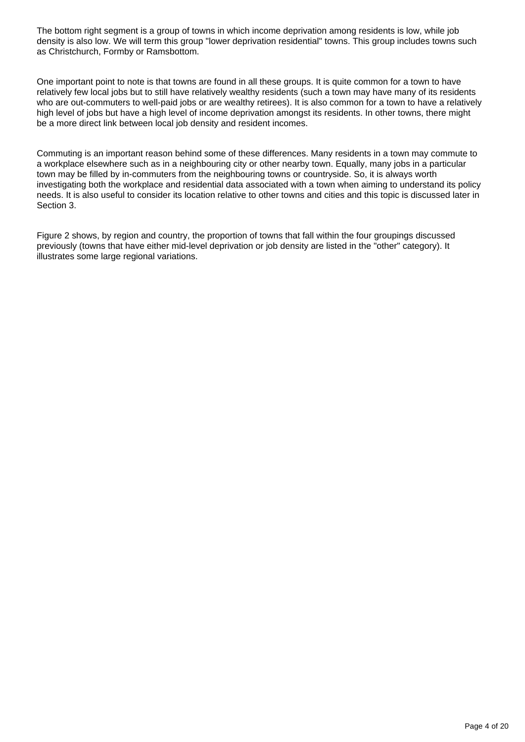The bottom right segment is a group of towns in which income deprivation among residents is low, while job density is also low. We will term this group "lower deprivation residential" towns. This group includes towns such as Christchurch, Formby or Ramsbottom.

One important point to note is that towns are found in all these groups. It is quite common for a town to have relatively few local jobs but to still have relatively wealthy residents (such a town may have many of its residents who are out-commuters to well-paid jobs or are wealthy retirees). It is also common for a town to have a relatively high level of jobs but have a high level of income deprivation amongst its residents. In other towns, there might be a more direct link between local job density and resident incomes.

Commuting is an important reason behind some of these differences. Many residents in a town may commute to a workplace elsewhere such as in a neighbouring city or other nearby town. Equally, many jobs in a particular town may be filled by in-commuters from the neighbouring towns or countryside. So, it is always worth investigating both the workplace and residential data associated with a town when aiming to understand its policy needs. It is also useful to consider its location relative to other towns and cities and this topic is discussed later in Section 3.

Figure 2 shows, by region and country, the proportion of towns that fall within the four groupings discussed previously (towns that have either mid-level deprivation or job density are listed in the "other" category). It illustrates some large regional variations.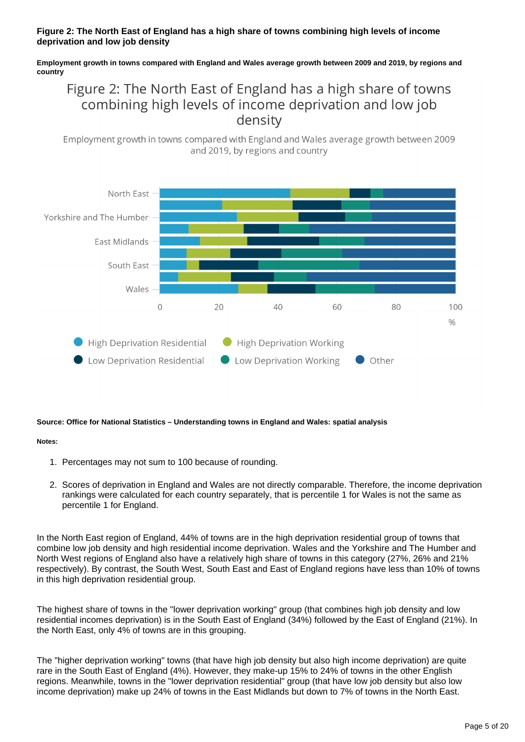#### **Figure 2: The North East of England has a high share of towns combining high levels of income deprivation and low job density**

#### **Employment growth in towns compared with England and Wales average growth between 2009 and 2019, by regions and country**

## Figure 2: The North East of England has a high share of towns combining high levels of income deprivation and low job density

Employment growth in towns compared with England and Wales average growth between 2009 and 2019, by regions and country



#### **Source: Office for National Statistics – Understanding towns in England and Wales: spatial analysis**

#### **Notes:**

- 1. Percentages may not sum to 100 because of rounding.
- 2. Scores of deprivation in England and Wales are not directly comparable. Therefore, the income deprivation rankings were calculated for each country separately, that is percentile 1 for Wales is not the same as percentile 1 for England.

In the North East region of England, 44% of towns are in the high deprivation residential group of towns that combine low job density and high residential income deprivation. Wales and the Yorkshire and The Humber and North West regions of England also have a relatively high share of towns in this category (27%, 26% and 21% respectively). By contrast, the South West, South East and East of England regions have less than 10% of towns in this high deprivation residential group.

The highest share of towns in the "lower deprivation working" group (that combines high job density and low residential incomes deprivation) is in the South East of England (34%) followed by the East of England (21%). In the North East, only 4% of towns are in this grouping.

The "higher deprivation working" towns (that have high job density but also high income deprivation) are quite rare in the South East of England (4%). However, they make-up 15% to 24% of towns in the other English regions. Meanwhile, towns in the "lower deprivation residential" group (that have low job density but also low income deprivation) make up 24% of towns in the East Midlands but down to 7% of towns in the North East.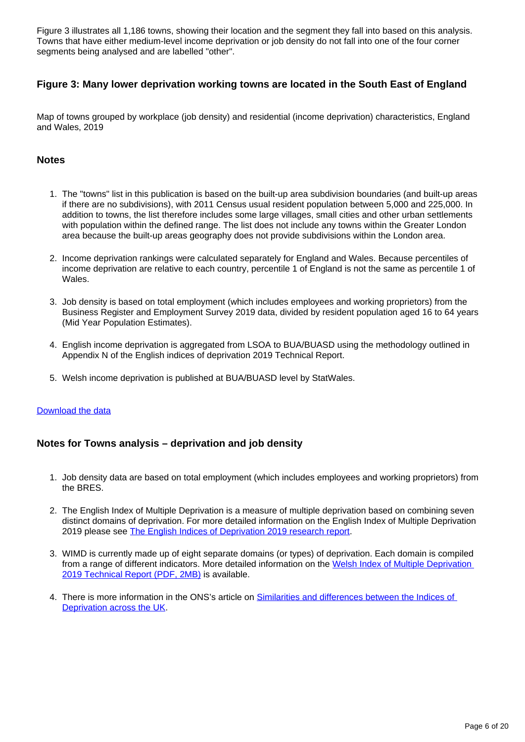Figure 3 illustrates all 1,186 towns, showing their location and the segment they fall into based on this analysis. Towns that have either medium-level income deprivation or job density do not fall into one of the four corner segments being analysed and are labelled "other".

## **Figure 3: Many lower deprivation working towns are located in the South East of England**

Map of towns grouped by workplace (job density) and residential (income deprivation) characteristics, England and Wales, 2019

### **Notes**

- 1. The "towns" list in this publication is based on the built-up area subdivision boundaries (and built-up areas if there are no subdivisions), with 2011 Census usual resident population between 5,000 and 225,000. In addition to towns, the list therefore includes some large villages, small cities and other urban settlements with population within the defined range. The list does not include any towns within the Greater London area because the built-up areas geography does not provide subdivisions within the London area.
- 2. Income deprivation rankings were calculated separately for England and Wales. Because percentiles of income deprivation are relative to each country, percentile 1 of England is not the same as percentile 1 of Wales.
- 3. Job density is based on total employment (which includes employees and working proprietors) from the Business Register and Employment Survey 2019 data, divided by resident population aged 16 to 64 years (Mid Year Population Estimates).
- 4. English income deprivation is aggregated from LSOA to BUA/BUASD using the methodology outlined in Appendix N of the English indices of deprivation 2019 Technical Report.
- 5. Welsh income deprivation is published at BUA/BUASD level by StatWales.

#### [Download the data](https://www.ons.gov.uk/visualisations/dvc1073/datadownloads/figure3_data.xls)

## **Notes for Towns analysis – deprivation and job density**

- 1. Job density data are based on total employment (which includes employees and working proprietors) from the BRES.
- 2. The English Index of Multiple Deprivation is a measure of multiple deprivation based on combining seven distinct domains of deprivation. For more detailed information on the English Index of Multiple Deprivation 2019 please see [The English Indices of Deprivation 2019 research report.](https://www.gov.uk/government/publications/english-indices-of-deprivation-2019-research-report)
- 3. WIMD is currently made up of eight separate domains (or types) of deprivation. Each domain is compiled from a range of different indicators. More detailed information on the Welsh Index of Multiple Deprivation [2019 Technical Report \(PDF, 2MB\)](https://gov.wales/sites/default/files/statistics-and-research/2020-02/welsh-index-multiple-deprivation-2019-technical-report.pdf) is available.
- 4. There is more information in the ONS's article on **Similarities and differences between the Indices of** [Deprivation across the UK.](https://webarchive.nationalarchives.gov.uk/20141119170512/http:/neighbourhood.statistics.gov.uk/dissemination/Info.do?page=analysisandguidance/analysisarticles/indices-of-deprivation.htm)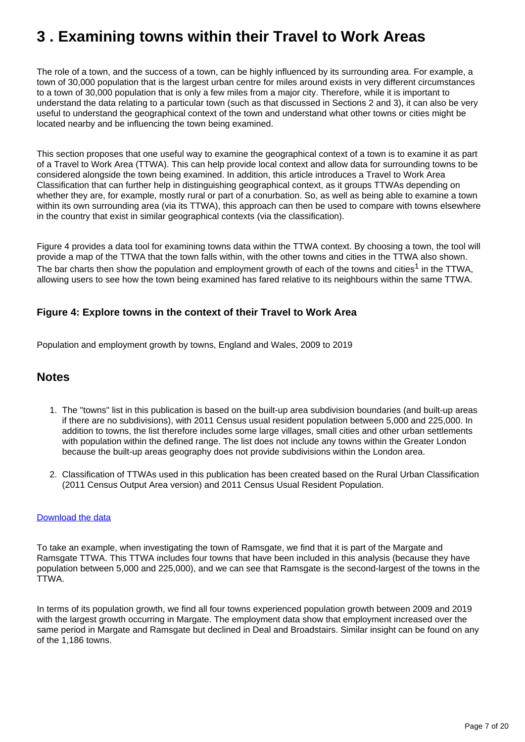# <span id="page-6-0"></span>**3 . Examining towns within their Travel to Work Areas**

The role of a town, and the success of a town, can be highly influenced by its surrounding area. For example, a town of 30,000 population that is the largest urban centre for miles around exists in very different circumstances to a town of 30,000 population that is only a few miles from a major city. Therefore, while it is important to understand the data relating to a particular town (such as that discussed in Sections 2 and 3), it can also be very useful to understand the geographical context of the town and understand what other towns or cities might be located nearby and be influencing the town being examined.

This section proposes that one useful way to examine the geographical context of a town is to examine it as part of a Travel to Work Area (TTWA). This can help provide local context and allow data for surrounding towns to be considered alongside the town being examined. In addition, this article introduces a Travel to Work Area Classification that can further help in distinguishing geographical context, as it groups TTWAs depending on whether they are, for example, mostly rural or part of a conurbation. So, as well as being able to examine a town within its own surrounding area (via its TTWA), this approach can then be used to compare with towns elsewhere in the country that exist in similar geographical contexts (via the classification).

Figure 4 provides a data tool for examining towns data within the TTWA context. By choosing a town, the tool will provide a map of the TTWA that the town falls within, with the other towns and cities in the TTWA also shown. The bar charts then show the population and employment growth of each of the towns and cities<sup>1</sup> in the TTWA, allowing users to see how the town being examined has fared relative to its neighbours within the same TTWA.

## **Figure 4: Explore towns in the context of their Travel to Work Area**

Population and employment growth by towns, England and Wales, 2009 to 2019

## **Notes**

- 1. The "towns" list in this publication is based on the built-up area subdivision boundaries (and built-up areas if there are no subdivisions), with 2011 Census usual resident population between 5,000 and 225,000. In addition to towns, the list therefore includes some large villages, small cities and other urban settlements with population within the defined range. The list does not include any towns within the Greater London because the built-up areas geography does not provide subdivisions within the London area.
- 2. Classification of TTWAs used in this publication has been created based on the Rural Urban Classification (2011 Census Output Area version) and 2011 Census Usual Resident Population.

#### [Download the data](https://www.ons.gov.uk/visualisations/dvc1073/datadownloads/figure4_data.xls)

To take an example, when investigating the town of Ramsgate, we find that it is part of the Margate and Ramsgate TTWA. This TTWA includes four towns that have been included in this analysis (because they have population between 5,000 and 225,000), and we can see that Ramsgate is the second-largest of the towns in the TTWA.

In terms of its population growth, we find all four towns experienced population growth between 2009 and 2019 with the largest growth occurring in Margate. The employment data show that employment increased over the same period in Margate and Ramsgate but declined in Deal and Broadstairs. Similar insight can be found on any of the 1,186 towns.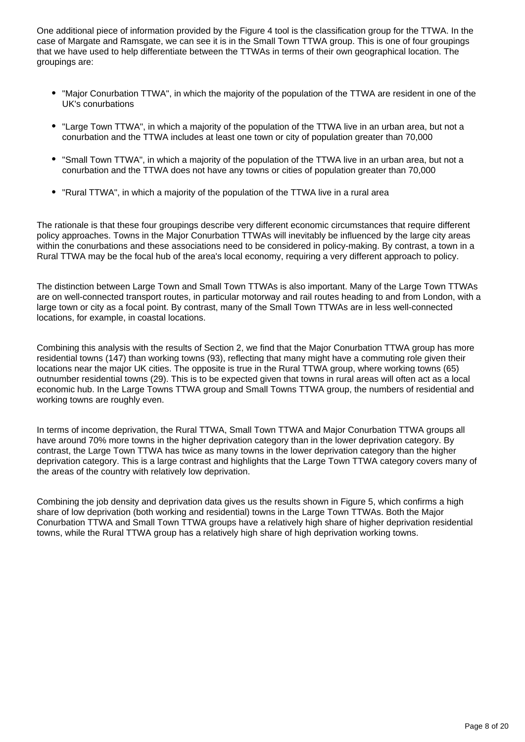One additional piece of information provided by the Figure 4 tool is the classification group for the TTWA. In the case of Margate and Ramsgate, we can see it is in the Small Town TTWA group. This is one of four groupings that we have used to help differentiate between the TTWAs in terms of their own geographical location. The groupings are:

- "Major Conurbation TTWA", in which the majority of the population of the TTWA are resident in one of the UK's conurbations
- "Large Town TTWA", in which a majority of the population of the TTWA live in an urban area, but not a conurbation and the TTWA includes at least one town or city of population greater than 70,000
- "Small Town TTWA", in which a majority of the population of the TTWA live in an urban area, but not a conurbation and the TTWA does not have any towns or cities of population greater than 70,000
- "Rural TTWA", in which a majority of the population of the TTWA live in a rural area

The rationale is that these four groupings describe very different economic circumstances that require different policy approaches. Towns in the Major Conurbation TTWAs will inevitably be influenced by the large city areas within the conurbations and these associations need to be considered in policy-making. By contrast, a town in a Rural TTWA may be the focal hub of the area's local economy, requiring a very different approach to policy.

The distinction between Large Town and Small Town TTWAs is also important. Many of the Large Town TTWAs are on well-connected transport routes, in particular motorway and rail routes heading to and from London, with a large town or city as a focal point. By contrast, many of the Small Town TTWAs are in less well-connected locations, for example, in coastal locations.

Combining this analysis with the results of Section 2, we find that the Major Conurbation TTWA group has more residential towns (147) than working towns (93), reflecting that many might have a commuting role given their locations near the major UK cities. The opposite is true in the Rural TTWA group, where working towns (65) outnumber residential towns (29). This is to be expected given that towns in rural areas will often act as a local economic hub. In the Large Towns TTWA group and Small Towns TTWA group, the numbers of residential and working towns are roughly even.

In terms of income deprivation, the Rural TTWA, Small Town TTWA and Major Conurbation TTWA groups all have around 70% more towns in the higher deprivation category than in the lower deprivation category. By contrast, the Large Town TTWA has twice as many towns in the lower deprivation category than the higher deprivation category. This is a large contrast and highlights that the Large Town TTWA category covers many of the areas of the country with relatively low deprivation.

Combining the job density and deprivation data gives us the results shown in Figure 5, which confirms a high share of low deprivation (both working and residential) towns in the Large Town TTWAs. Both the Major Conurbation TTWA and Small Town TTWA groups have a relatively high share of higher deprivation residential towns, while the Rural TTWA group has a relatively high share of high deprivation working towns.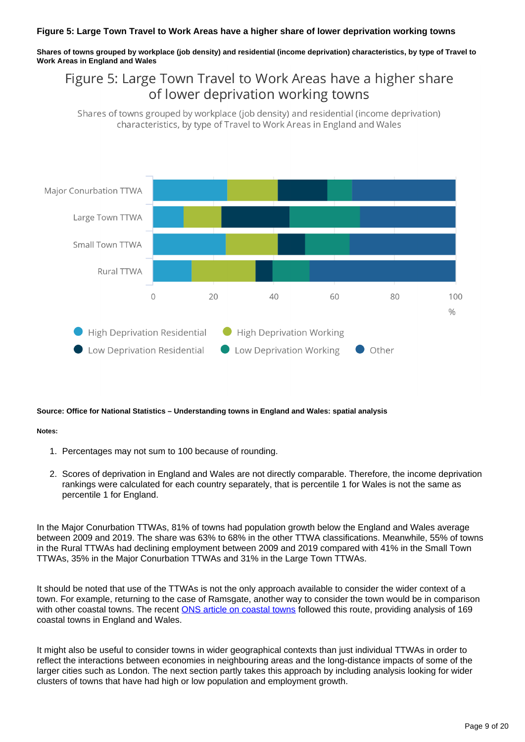#### **Figure 5: Large Town Travel to Work Areas have a higher share of lower deprivation working towns**

**Shares of towns grouped by workplace (job density) and residential (income deprivation) characteristics, by type of Travel to Work Areas in England and Wales**

## Figure 5: Large Town Travel to Work Areas have a higher share of lower deprivation working towns

Shares of towns grouped by workplace (job density) and residential (income deprivation) characteristics, by type of Travel to Work Areas in England and Wales



#### **Source: Office for National Statistics – Understanding towns in England and Wales: spatial analysis**

#### **Notes:**

- 1. Percentages may not sum to 100 because of rounding.
- 2. Scores of deprivation in England and Wales are not directly comparable. Therefore, the income deprivation rankings were calculated for each country separately, that is percentile 1 for Wales is not the same as percentile 1 for England.

In the Major Conurbation TTWAs, 81% of towns had population growth below the England and Wales average between 2009 and 2019. The share was 63% to 68% in the other TTWA classifications. Meanwhile, 55% of towns in the Rural TTWAs had declining employment between 2009 and 2019 compared with 41% in the Small Town TTWAs, 35% in the Major Conurbation TTWAs and 31% in the Large Town TTWAs.

It should be noted that use of the TTWAs is not the only approach available to consider the wider context of a town. For example, returning to the case of Ramsgate, another way to consider the town would be in comparison with other coastal towns. The recent [ONS article on coastal towns](https://www.ons.gov.uk/businessindustryandtrade/tourismindustry/articles/coastaltownsinenglandandwales/2020-10-06) followed this route, providing analysis of 169 coastal towns in England and Wales.

It might also be useful to consider towns in wider geographical contexts than just individual TTWAs in order to reflect the interactions between economies in neighbouring areas and the long-distance impacts of some of the larger cities such as London. The next section partly takes this approach by including analysis looking for wider clusters of towns that have had high or low population and employment growth.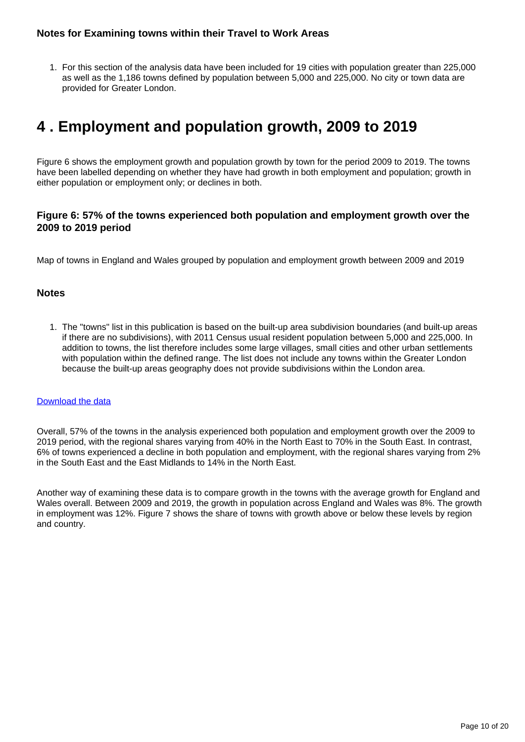## **Notes for Examining towns within their Travel to Work Areas**

1. For this section of the analysis data have been included for 19 cities with population greater than 225,000 as well as the 1,186 towns defined by population between 5,000 and 225,000. No city or town data are provided for Greater London.

## <span id="page-9-0"></span>**4 . Employment and population growth, 2009 to 2019**

Figure 6 shows the employment growth and population growth by town for the period 2009 to 2019. The towns have been labelled depending on whether they have had growth in both employment and population; growth in either population or employment only; or declines in both.

## **Figure 6: 57% of the towns experienced both population and employment growth over the 2009 to 2019 period**

Map of towns in England and Wales grouped by population and employment growth between 2009 and 2019

### **Notes**

1. The "towns" list in this publication is based on the built-up area subdivision boundaries (and built-up areas if there are no subdivisions), with 2011 Census usual resident population between 5,000 and 225,000. In addition to towns, the list therefore includes some large villages, small cities and other urban settlements with population within the defined range. The list does not include any towns within the Greater London because the built-up areas geography does not provide subdivisions within the London area.

#### [Download the data](https://www.ons.gov.uk/visualisations/dvc1073/datadownloads/figure6_data.xls)

Overall, 57% of the towns in the analysis experienced both population and employment growth over the 2009 to 2019 period, with the regional shares varying from 40% in the North East to 70% in the South East. In contrast, 6% of towns experienced a decline in both population and employment, with the regional shares varying from 2% in the South East and the East Midlands to 14% in the North East.

Another way of examining these data is to compare growth in the towns with the average growth for England and Wales overall. Between 2009 and 2019, the growth in population across England and Wales was 8%. The growth in employment was 12%. Figure 7 shows the share of towns with growth above or below these levels by region and country.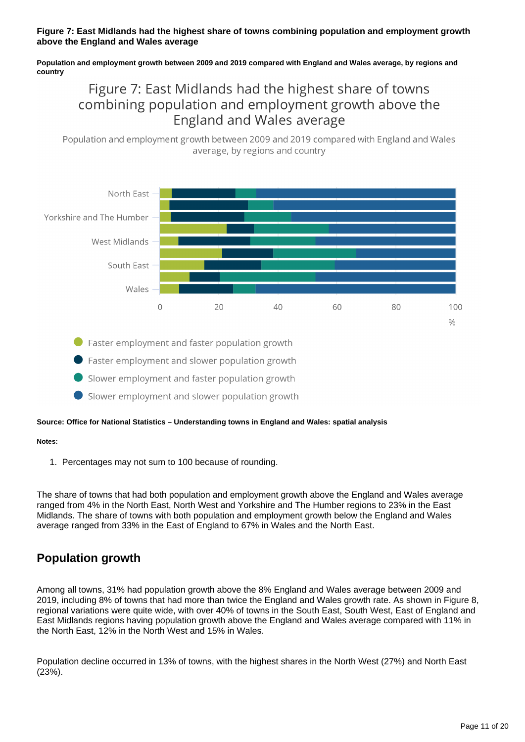#### **Figure 7: East Midlands had the highest share of towns combining population and employment growth above the England and Wales average**

**Population and employment growth between 2009 and 2019 compared with England and Wales average, by regions and country**

## Figure 7: East Midlands had the highest share of towns combining population and employment growth above the England and Wales average

Population and employment growth between 2009 and 2019 compared with England and Wales average, by regions and country



● Faster employment and faster population growth

Faster employment and slower population growth

Slower employment and faster population growth

Slower employment and slower population growth

#### **Source: Office for National Statistics – Understanding towns in England and Wales: spatial analysis**

#### **Notes:**

1. Percentages may not sum to 100 because of rounding.

The share of towns that had both population and employment growth above the England and Wales average ranged from 4% in the North East, North West and Yorkshire and The Humber regions to 23% in the East Midlands. The share of towns with both population and employment growth below the England and Wales average ranged from 33% in the East of England to 67% in Wales and the North East.

## **Population growth**

Among all towns, 31% had population growth above the 8% England and Wales average between 2009 and 2019, including 8% of towns that had more than twice the England and Wales growth rate. As shown in Figure 8, regional variations were quite wide, with over 40% of towns in the South East, South West, East of England and East Midlands regions having population growth above the England and Wales average compared with 11% in the North East, 12% in the North West and 15% in Wales.

Population decline occurred in 13% of towns, with the highest shares in the North West (27%) and North East (23%).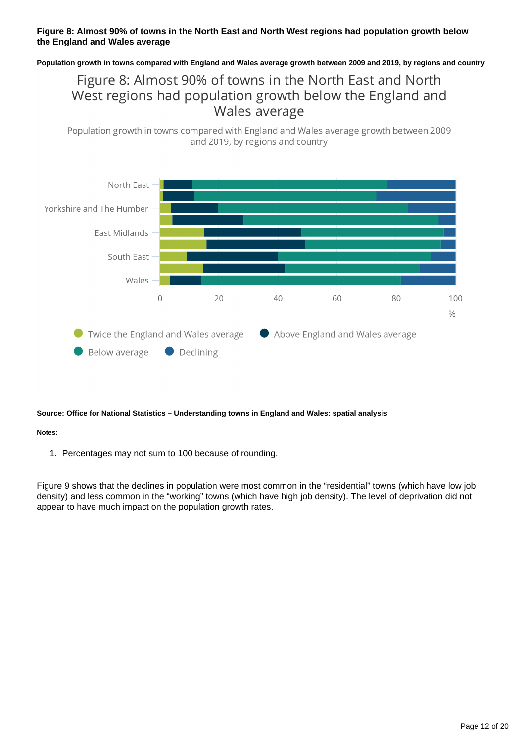### **Figure 8: Almost 90% of towns in the North East and North West regions had population growth below the England and Wales average**

**Population growth in towns compared with England and Wales average growth between 2009 and 2019, by regions and country**

## Figure 8: Almost 90% of towns in the North East and North West regions had population growth below the England and Wales average

Population growth in towns compared with England and Wales average growth between 2009 and 2019, by regions and country



#### **Source: Office for National Statistics – Understanding towns in England and Wales: spatial analysis**

#### **Notes:**

1. Percentages may not sum to 100 because of rounding.

Figure 9 shows that the declines in population were most common in the "residential" towns (which have low job density) and less common in the "working" towns (which have high job density). The level of deprivation did not appear to have much impact on the population growth rates.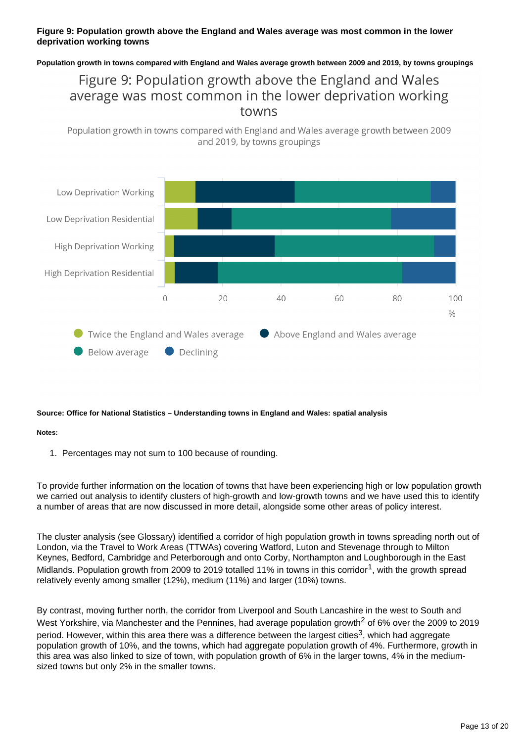### **Figure 9: Population growth above the England and Wales average was most common in the lower deprivation working towns**

**Population growth in towns compared with England and Wales average growth between 2009 and 2019, by towns groupings**

## Figure 9: Population growth above the England and Wales average was most common in the lower deprivation working towns

Population growth in towns compared with England and Wales average growth between 2009 and 2019, by towns groupings



#### **Source: Office for National Statistics – Understanding towns in England and Wales: spatial analysis**

#### **Notes:**

1. Percentages may not sum to 100 because of rounding.

To provide further information on the location of towns that have been experiencing high or low population growth we carried out analysis to identify clusters of high-growth and low-growth towns and we have used this to identify a number of areas that are now discussed in more detail, alongside some other areas of policy interest.

The cluster analysis (see Glossary) identified a corridor of high population growth in towns spreading north out of London, via the Travel to Work Areas (TTWAs) covering Watford, Luton and Stevenage through to Milton Keynes, Bedford, Cambridge and Peterborough and onto Corby, Northampton and Loughborough in the East Midlands. Population growth from 2009 to 2019 totalled 11% in towns in this corridor<sup>1</sup>, with the growth spread relatively evenly among smaller (12%), medium (11%) and larger (10%) towns.

By contrast, moving further north, the corridor from Liverpool and South Lancashire in the west to South and West Yorkshire, via Manchester and the Pennines, had average population growth<sup>2</sup> of 6% over the 2009 to 2019 period. However, within this area there was a difference between the largest cities<sup>3</sup>, which had aggregate population growth of 10%, and the towns, which had aggregate population growth of 4%. Furthermore, growth in this area was also linked to size of town, with population growth of 6% in the larger towns, 4% in the mediumsized towns but only 2% in the smaller towns.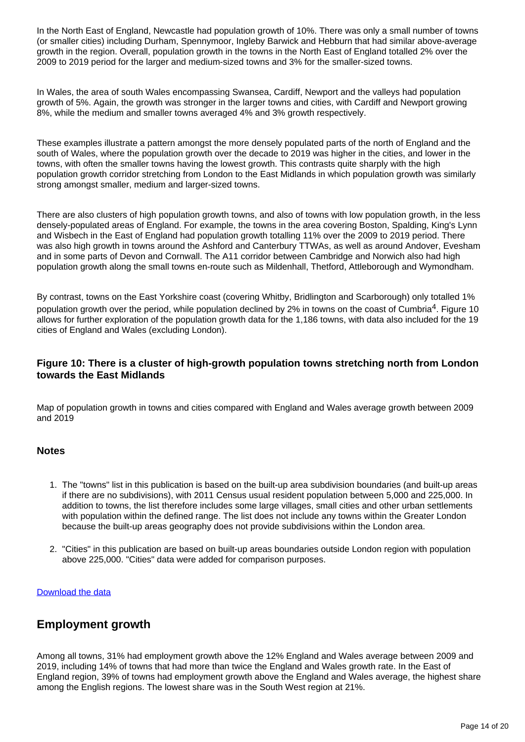In the North East of England, Newcastle had population growth of 10%. There was only a small number of towns (or smaller cities) including Durham, Spennymoor, Ingleby Barwick and Hebburn that had similar above-average growth in the region. Overall, population growth in the towns in the North East of England totalled 2% over the 2009 to 2019 period for the larger and medium-sized towns and 3% for the smaller-sized towns.

In Wales, the area of south Wales encompassing Swansea, Cardiff, Newport and the valleys had population growth of 5%. Again, the growth was stronger in the larger towns and cities, with Cardiff and Newport growing 8%, while the medium and smaller towns averaged 4% and 3% growth respectively.

These examples illustrate a pattern amongst the more densely populated parts of the north of England and the south of Wales, where the population growth over the decade to 2019 was higher in the cities, and lower in the towns, with often the smaller towns having the lowest growth. This contrasts quite sharply with the high population growth corridor stretching from London to the East Midlands in which population growth was similarly strong amongst smaller, medium and larger-sized towns.

There are also clusters of high population growth towns, and also of towns with low population growth, in the less densely-populated areas of England. For example, the towns in the area covering Boston, Spalding, King's Lynn and Wisbech in the East of England had population growth totalling 11% over the 2009 to 2019 period. There was also high growth in towns around the Ashford and Canterbury TTWAs, as well as around Andover, Evesham and in some parts of Devon and Cornwall. The A11 corridor between Cambridge and Norwich also had high population growth along the small towns en-route such as Mildenhall, Thetford, Attleborough and Wymondham.

By contrast, towns on the East Yorkshire coast (covering Whitby, Bridlington and Scarborough) only totalled 1% population growth over the period, while population declined by 2% in towns on the coast of Cumbria<sup>4</sup>. Figure 10 allows for further exploration of the population growth data for the 1,186 towns, with data also included for the 19 cities of England and Wales (excluding London).

## **Figure 10: There is a cluster of high-growth population towns stretching north from London towards the East Midlands**

Map of population growth in towns and cities compared with England and Wales average growth between 2009 and 2019

#### **Notes**

- 1. The "towns" list in this publication is based on the built-up area subdivision boundaries (and built-up areas if there are no subdivisions), with 2011 Census usual resident population between 5,000 and 225,000. In addition to towns, the list therefore includes some large villages, small cities and other urban settlements with population within the defined range. The list does not include any towns within the Greater London because the built-up areas geography does not provide subdivisions within the London area.
- 2. "Cities" in this publication are based on built-up areas boundaries outside London region with population above 225,000. "Cities" data were added for comparison purposes.

#### [Download the data](https://www.ons.gov.uk/visualisations/dvc1073/datadownloads/figure10_data.xls)

## **Employment growth**

Among all towns, 31% had employment growth above the 12% England and Wales average between 2009 and 2019, including 14% of towns that had more than twice the England and Wales growth rate. In the East of England region, 39% of towns had employment growth above the England and Wales average, the highest share among the English regions. The lowest share was in the South West region at 21%.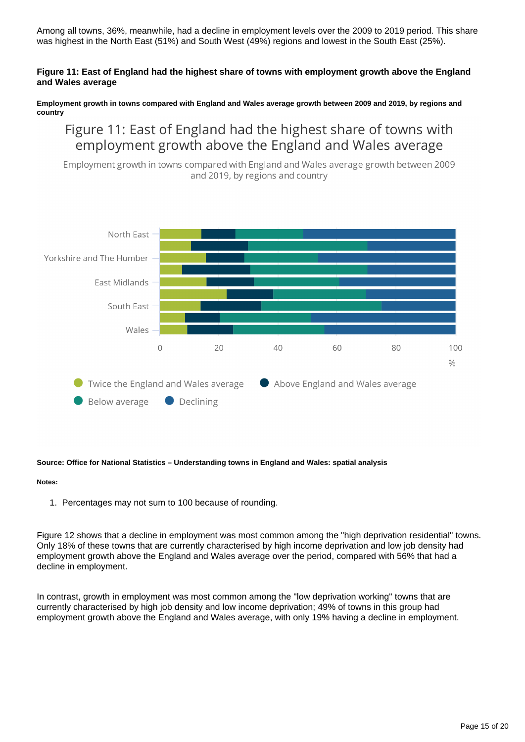Among all towns, 36%, meanwhile, had a decline in employment levels over the 2009 to 2019 period. This share was highest in the North East (51%) and South West (49%) regions and lowest in the South East (25%).

#### **Figure 11: East of England had the highest share of towns with employment growth above the England and Wales average**

**Employment growth in towns compared with England and Wales average growth between 2009 and 2019, by regions and country**

Figure 11: East of England had the highest share of towns with employment growth above the England and Wales average

Employment growth in towns compared with England and Wales average growth between 2009 and 2019, by regions and country



#### **Source: Office for National Statistics – Understanding towns in England and Wales: spatial analysis**

#### **Notes:**

1. Percentages may not sum to 100 because of rounding.

Figure 12 shows that a decline in employment was most common among the "high deprivation residential" towns. Only 18% of these towns that are currently characterised by high income deprivation and low job density had employment growth above the England and Wales average over the period, compared with 56% that had a decline in employment.

In contrast, growth in employment was most common among the "low deprivation working" towns that are currently characterised by high job density and low income deprivation; 49% of towns in this group had employment growth above the England and Wales average, with only 19% having a decline in employment.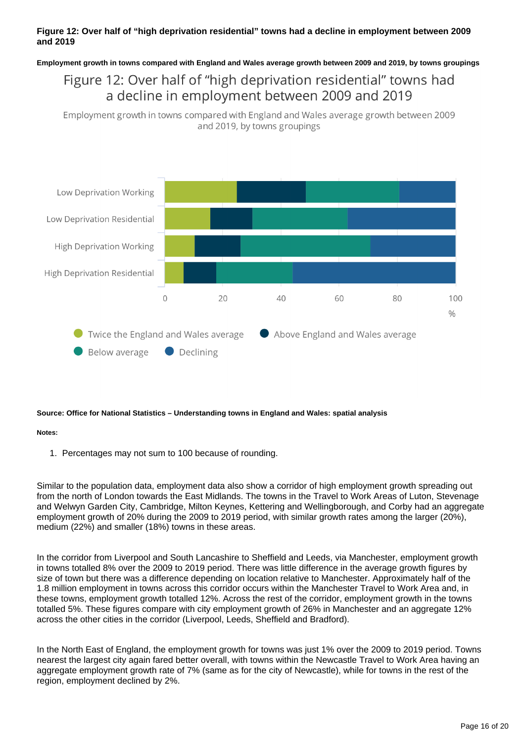### **Figure 12: Over half of "high deprivation residential" towns had a decline in employment between 2009 and 2019**

**Employment growth in towns compared with England and Wales average growth between 2009 and 2019, by towns groupings**

## Figure 12: Over half of "high deprivation residential" towns had a decline in employment between 2009 and 2019

Employment growth in towns compared with England and Wales average growth between 2009 and 2019, by towns groupings



#### **Source: Office for National Statistics – Understanding towns in England and Wales: spatial analysis**

#### **Notes:**

1. Percentages may not sum to 100 because of rounding.

Similar to the population data, employment data also show a corridor of high employment growth spreading out from the north of London towards the East Midlands. The towns in the Travel to Work Areas of Luton, Stevenage and Welwyn Garden City, Cambridge, Milton Keynes, Kettering and Wellingborough, and Corby had an aggregate employment growth of 20% during the 2009 to 2019 period, with similar growth rates among the larger (20%), medium (22%) and smaller (18%) towns in these areas.

In the corridor from Liverpool and South Lancashire to Sheffield and Leeds, via Manchester, employment growth in towns totalled 8% over the 2009 to 2019 period. There was little difference in the average growth figures by size of town but there was a difference depending on location relative to Manchester. Approximately half of the 1.8 million employment in towns across this corridor occurs within the Manchester Travel to Work Area and, in these towns, employment growth totalled 12%. Across the rest of the corridor, employment growth in the towns totalled 5%. These figures compare with city employment growth of 26% in Manchester and an aggregate 12% across the other cities in the corridor (Liverpool, Leeds, Sheffield and Bradford).

In the North East of England, the employment growth for towns was just 1% over the 2009 to 2019 period. Towns nearest the largest city again fared better overall, with towns within the Newcastle Travel to Work Area having an aggregate employment growth rate of 7% (same as for the city of Newcastle), while for towns in the rest of the region, employment declined by 2%.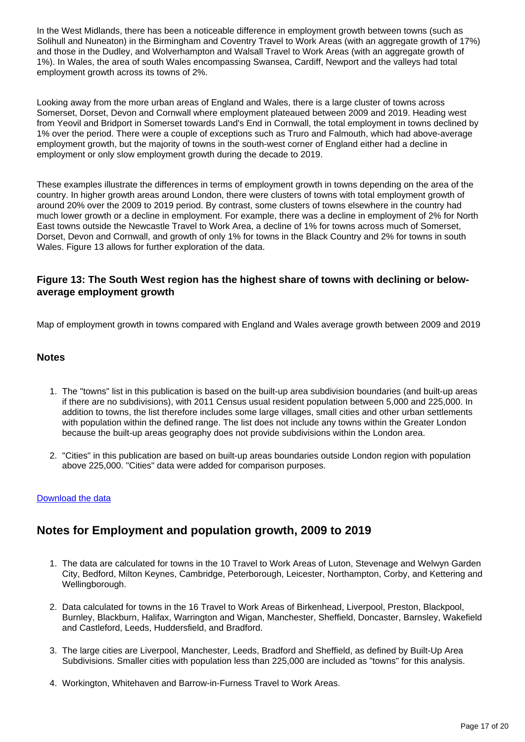In the West Midlands, there has been a noticeable difference in employment growth between towns (such as Solihull and Nuneaton) in the Birmingham and Coventry Travel to Work Areas (with an aggregate growth of 17%) and those in the Dudley, and Wolverhampton and Walsall Travel to Work Areas (with an aggregate growth of 1%). In Wales, the area of south Wales encompassing Swansea, Cardiff, Newport and the valleys had total employment growth across its towns of 2%.

Looking away from the more urban areas of England and Wales, there is a large cluster of towns across Somerset, Dorset, Devon and Cornwall where employment plateaued between 2009 and 2019. Heading west from Yeovil and Bridport in Somerset towards Land's End in Cornwall, the total employment in towns declined by 1% over the period. There were a couple of exceptions such as Truro and Falmouth, which had above-average employment growth, but the majority of towns in the south-west corner of England either had a decline in employment or only slow employment growth during the decade to 2019.

These examples illustrate the differences in terms of employment growth in towns depending on the area of the country. In higher growth areas around London, there were clusters of towns with total employment growth of around 20% over the 2009 to 2019 period. By contrast, some clusters of towns elsewhere in the country had much lower growth or a decline in employment. For example, there was a decline in employment of 2% for North East towns outside the Newcastle Travel to Work Area, a decline of 1% for towns across much of Somerset, Dorset, Devon and Cornwall, and growth of only 1% for towns in the Black Country and 2% for towns in south Wales. Figure 13 allows for further exploration of the data.

## **Figure 13: The South West region has the highest share of towns with declining or belowaverage employment growth**

Map of employment growth in towns compared with England and Wales average growth between 2009 and 2019

#### **Notes**

- 1. The "towns" list in this publication is based on the built-up area subdivision boundaries (and built-up areas if there are no subdivisions), with 2011 Census usual resident population between 5,000 and 225,000. In addition to towns, the list therefore includes some large villages, small cities and other urban settlements with population within the defined range. The list does not include any towns within the Greater London because the built-up areas geography does not provide subdivisions within the London area.
- 2. "Cities" in this publication are based on built-up areas boundaries outside London region with population above 225,000. "Cities" data were added for comparison purposes.

#### [Download the data](https://www.ons.gov.uk/visualisations/dvc1073/datadownloads/figure13_data.xls)

## **Notes for Employment and population growth, 2009 to 2019**

- 1. The data are calculated for towns in the 10 Travel to Work Areas of Luton, Stevenage and Welwyn Garden City, Bedford, Milton Keynes, Cambridge, Peterborough, Leicester, Northampton, Corby, and Kettering and Wellingborough.
- 2. Data calculated for towns in the 16 Travel to Work Areas of Birkenhead, Liverpool, Preston, Blackpool, Burnley, Blackburn, Halifax, Warrington and Wigan, Manchester, Sheffield, Doncaster, Barnsley, Wakefield and Castleford, Leeds, Huddersfield, and Bradford.
- 3. The large cities are Liverpool, Manchester, Leeds, Bradford and Sheffield, as defined by Built-Up Area Subdivisions. Smaller cities with population less than 225,000 are included as "towns" for this analysis.
- 4. Workington, Whitehaven and Barrow-in-Furness Travel to Work Areas.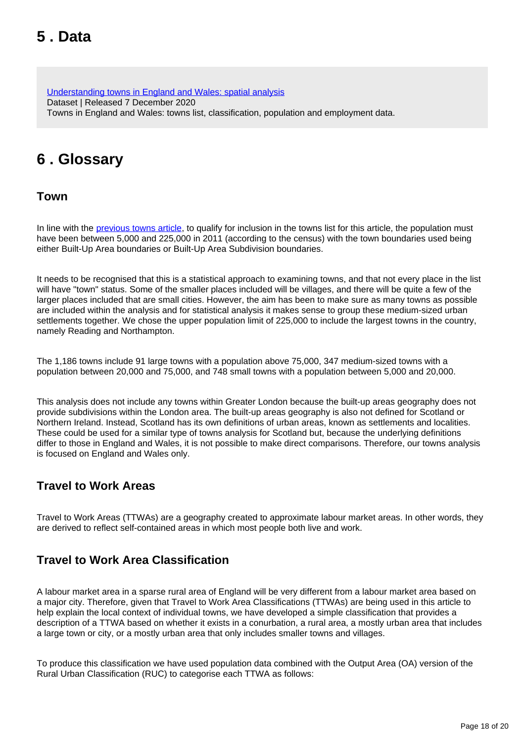# <span id="page-17-0"></span>**5 . Data**

[Understanding towns in England and Wales: spatial analysis](https://www.ons.gov.uk/peoplepopulationandcommunity/populationandmigration/populationestimates/datasets/understandingtownsinenglandandwalesspatialanalysis) Dataset | Released 7 December 2020 Towns in England and Wales: towns list, classification, population and employment data.

# <span id="page-17-1"></span>**6 . Glossary**

**Town**

In line with the [previous towns article](https://www.ons.gov.uk/peoplepopulationandcommunity/populationandmigration/populationestimates/articles/understandingtownsinenglandandwales/anintroduction), to qualify for inclusion in the towns list for this article, the population must have been between 5,000 and 225,000 in 2011 (according to the census) with the town boundaries used being either Built-Up Area boundaries or Built-Up Area Subdivision boundaries.

It needs to be recognised that this is a statistical approach to examining towns, and that not every place in the list will have "town" status. Some of the smaller places included will be villages, and there will be quite a few of the larger places included that are small cities. However, the aim has been to make sure as many towns as possible are included within the analysis and for statistical analysis it makes sense to group these medium-sized urban settlements together. We chose the upper population limit of 225,000 to include the largest towns in the country, namely Reading and Northampton.

The 1,186 towns include 91 large towns with a population above 75,000, 347 medium-sized towns with a population between 20,000 and 75,000, and 748 small towns with a population between 5,000 and 20,000.

This analysis does not include any towns within Greater London because the built-up areas geography does not provide subdivisions within the London area. The built-up areas geography is also not defined for Scotland or Northern Ireland. Instead, Scotland has its own definitions of urban areas, known as settlements and localities. These could be used for a similar type of towns analysis for Scotland but, because the underlying definitions differ to those in England and Wales, it is not possible to make direct comparisons. Therefore, our towns analysis is focused on England and Wales only.

## **Travel to Work Areas**

Travel to Work Areas (TTWAs) are a geography created to approximate labour market areas. In other words, they are derived to reflect self-contained areas in which most people both live and work.

## **Travel to Work Area Classification**

A labour market area in a sparse rural area of England will be very different from a labour market area based on a major city. Therefore, given that Travel to Work Area Classifications (TTWAs) are being used in this article to help explain the local context of individual towns, we have developed a simple classification that provides a description of a TTWA based on whether it exists in a conurbation, a rural area, a mostly urban area that includes a large town or city, or a mostly urban area that only includes smaller towns and villages.

To produce this classification we have used population data combined with the Output Area (OA) version of the Rural Urban Classification (RUC) to categorise each TTWA as follows: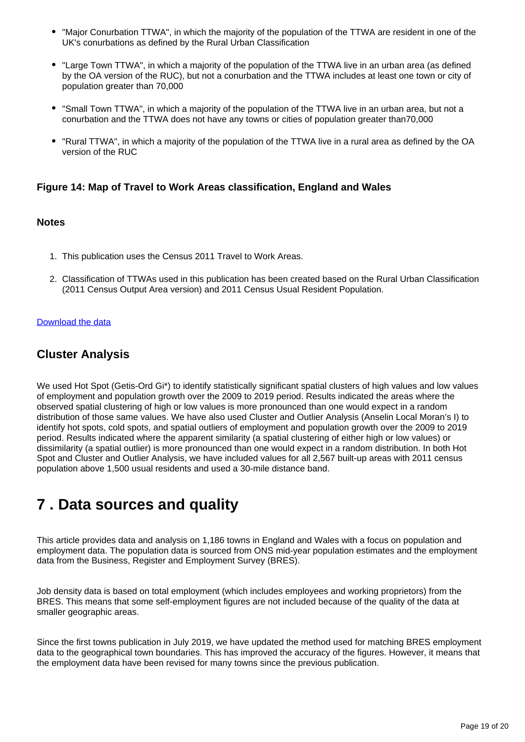- "Major Conurbation TTWA", in which the majority of the population of the TTWA are resident in one of the UK's conurbations as defined by the Rural Urban Classification
- "Large Town TTWA", in which a majority of the population of the TTWA live in an urban area (as defined by the OA version of the RUC), but not a conurbation and the TTWA includes at least one town or city of population greater than 70,000
- "Small Town TTWA", in which a majority of the population of the TTWA live in an urban area, but not a conurbation and the TTWA does not have any towns or cities of population greater than70,000
- "Rural TTWA", in which a majority of the population of the TTWA live in a rural area as defined by the OA version of the RUC

## **Figure 14: Map of Travel to Work Areas classification, England and Wales**

### **Notes**

- 1. This publication uses the Census 2011 Travel to Work Areas.
- 2. Classification of TTWAs used in this publication has been created based on the Rural Urban Classification (2011 Census Output Area version) and 2011 Census Usual Resident Population.

#### [Download the data](https://www.ons.gov.uk/visualisations/dvc1073/datadownloads/figure14_data.xls)

## **Cluster Analysis**

We used Hot Spot (Getis-Ord Gi\*) to identify statistically significant spatial clusters of high values and low values of employment and population growth over the 2009 to 2019 period. Results indicated the areas where the observed spatial clustering of high or low values is more pronounced than one would expect in a random distribution of those same values. We have also used Cluster and Outlier Analysis (Anselin Local Moran's I) to identify hot spots, cold spots, and spatial outliers of employment and population growth over the 2009 to 2019 period. Results indicated where the apparent similarity (a spatial clustering of either high or low values) or dissimilarity (a spatial outlier) is more pronounced than one would expect in a random distribution. In both Hot Spot and Cluster and Outlier Analysis, we have included values for all 2,567 built-up areas with 2011 census population above 1,500 usual residents and used a 30-mile distance band.

## <span id="page-18-0"></span>**7 . Data sources and quality**

This article provides data and analysis on 1,186 towns in England and Wales with a focus on population and employment data. The population data is sourced from ONS mid-year population estimates and the employment data from the Business, Register and Employment Survey (BRES).

Job density data is based on total employment (which includes employees and working proprietors) from the BRES. This means that some self-employment figures are not included because of the quality of the data at smaller geographic areas.

Since the first towns publication in July 2019, we have updated the method used for matching BRES employment data to the geographical town boundaries. This has improved the accuracy of the figures. However, it means that the employment data have been revised for many towns since the previous publication.